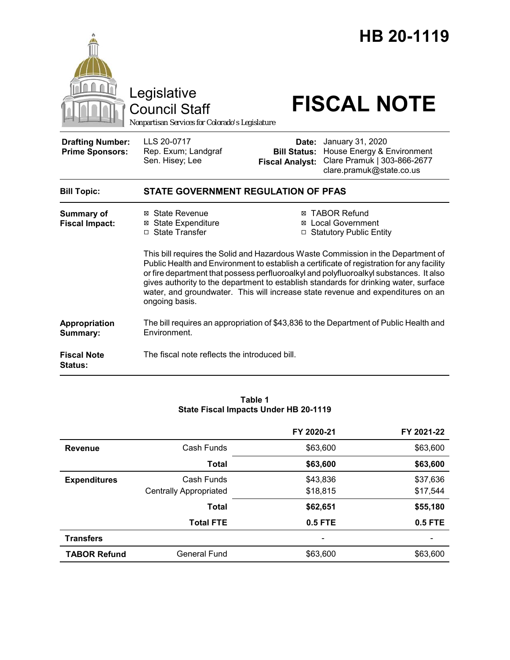

#### **Table 1 State Fiscal Impacts Under HB 20-1119**

|                     |                               | FY 2020-21 | FY 2021-22     |
|---------------------|-------------------------------|------------|----------------|
| <b>Revenue</b>      | Cash Funds                    | \$63,600   | \$63,600       |
|                     | Total                         | \$63,600   | \$63,600       |
| <b>Expenditures</b> | Cash Funds                    | \$43,836   | \$37,636       |
|                     | <b>Centrally Appropriated</b> | \$18,815   | \$17,544       |
|                     | <b>Total</b>                  | \$62,651   | \$55,180       |
|                     | <b>Total FTE</b>              | 0.5 FTE    | <b>0.5 FTE</b> |
| <b>Transfers</b>    |                               |            |                |
| <b>TABOR Refund</b> | General Fund                  | \$63,600   | \$63,600       |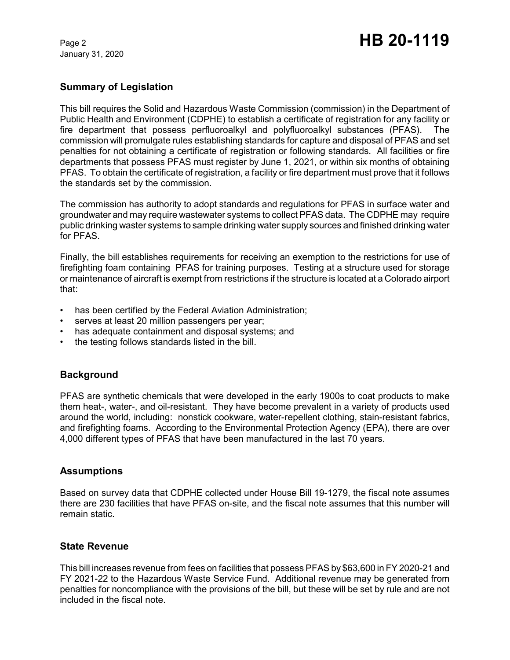January 31, 2020

# Page 2 **HB 20-1119**

## **Summary of Legislation**

This bill requires the Solid and Hazardous Waste Commission (commission) in the Department of Public Health and Environment (CDPHE) to establish a certificate of registration for any facility or fire department that possess perfluoroalkyl and polyfluoroalkyl substances (PFAS). The commission will promulgate rules establishing standards for capture and disposal of PFAS and set penalties for not obtaining a certificate of registration or following standards. All facilities or fire departments that possess PFAS must register by June 1, 2021, or within six months of obtaining PFAS. To obtain the certificate of registration, a facility or fire department must prove that it follows the standards set by the commission.

The commission has authority to adopt standards and regulations for PFAS in surface water and groundwater and may require wastewater systems to collect PFAS data. The CDPHE may require public drinking waster systems to sample drinking water supply sources and finished drinking water for PFAS.

Finally, the bill establishes requirements for receiving an exemption to the restrictions for use of firefighting foam containing PFAS for training purposes. Testing at a structure used for storage or maintenance of aircraft is exempt from restrictions if the structure is located at a Colorado airport that:

- has been certified by the Federal Aviation Administration;
- serves at least 20 million passengers per year;
- has adequate containment and disposal systems; and
- the testing follows standards listed in the bill.

# **Background**

PFAS are synthetic chemicals that were developed in the early 1900s to coat products to make them heat-, water-, and oil-resistant. They have become prevalent in a variety of products used around the world, including: nonstick cookware, water-repellent clothing, stain-resistant fabrics, and firefighting foams. According to the Environmental Protection Agency (EPA), there are over 4,000 different types of PFAS that have been manufactured in the last 70 years.

## **Assumptions**

Based on survey data that CDPHE collected under House Bill 19-1279, the fiscal note assumes there are 230 facilities that have PFAS on-site, and the fiscal note assumes that this number will remain static.

## **State Revenue**

This bill increases revenue from fees on facilities that possess PFAS by \$63,600 in FY 2020-21 and FY 2021-22 to the Hazardous Waste Service Fund. Additional revenue may be generated from penalties for noncompliance with the provisions of the bill, but these will be set by rule and are not included in the fiscal note.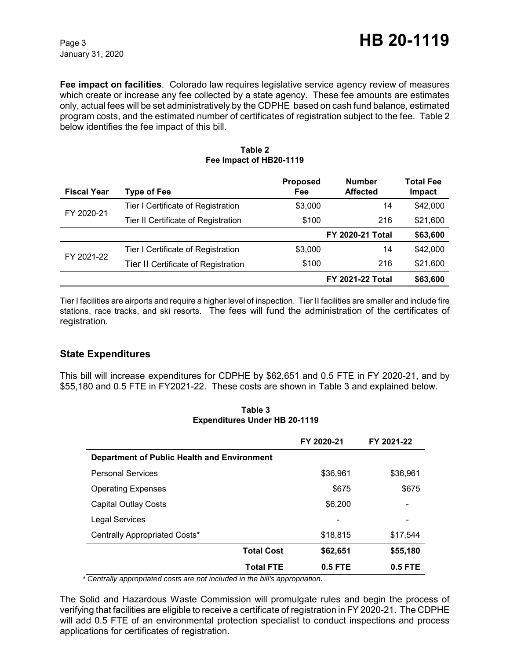January 31, 2020

**Fee impact on facilities**. Colorado law requires legislative service agency review of measures which create or increase any fee collected by a state agency. These fee amounts are estimates only, actual fees will be set administratively by the CDPHE based on cash fund balance, estimated program costs, and the estimated number of certificates of registration subject to the fee. Table 2 below identifies the fee impact of this bill.

| <b>Fiscal Year</b> | <b>Type of Fee</b>                  | <b>Proposed</b><br>Fee | <b>Number</b><br><b>Affected</b> | <b>Total Fee</b><br>Impact |
|--------------------|-------------------------------------|------------------------|----------------------------------|----------------------------|
| FY 2020-21         | Tier I Certificate of Registration  | \$3,000                | 14                               | \$42,000                   |
|                    | Tier II Certificate of Registration | \$100                  | 216                              | \$21,600                   |
|                    |                                     |                        | <b>FY 2020-21 Total</b>          | \$63,600                   |
| FY 2021-22         | Tier I Certificate of Registration  | \$3,000                | 14                               | \$42,000                   |
|                    | Tier II Certificate of Registration | \$100                  | 216                              | \$21,600                   |
|                    |                                     |                        | <b>FY 2021-22 Total</b>          | \$63,600                   |

#### **Table 2 Fee Impact of HB20-1119**

Tier I facilities are airports and require a higher level of inspection. Tier II facilities are smaller and include fire stations, race tracks, and ski resorts. The fees will fund the administration of the certificates of registration.

# **State Expenditures**

This bill will increase expenditures for CDPHE by \$62,651 and 0.5 FTE in FY 2020-21, and by \$55,180 and 0.5 FTE in FY2021-22. These costs are shown in Table 3 and explained below.

|                                             | FY 2020-21 | FY 2021-22               |
|---------------------------------------------|------------|--------------------------|
| Department of Public Health and Environment |            |                          |
| <b>Personal Services</b>                    | \$36,961   | \$36,961                 |
| <b>Operating Expenses</b>                   | \$675      | \$675                    |
| <b>Capital Outlay Costs</b>                 | \$6,200    | $\overline{\phantom{a}}$ |
| <b>Legal Services</b>                       |            | -                        |
| Centrally Appropriated Costs*               | \$18,815   | \$17,544                 |
| <b>Total Cost</b>                           | \$62,651   | \$55,180                 |
| <b>Total FTE</b>                            | 0.5 FTE    | $0.5$ FTE                |

**Table 3 Expenditures Under HB 20-1119**

 *\* Centrally appropriated costs are not included in the bill's appropriation.*

The Solid and Hazardous Waste Commission will promulgate rules and begin the process of verifying that facilities are eligible to receive a certificate of registration in FY 2020-21. The CDPHE will add 0.5 FTE of an environmental protection specialist to conduct inspections and process applications for certificates of registration.